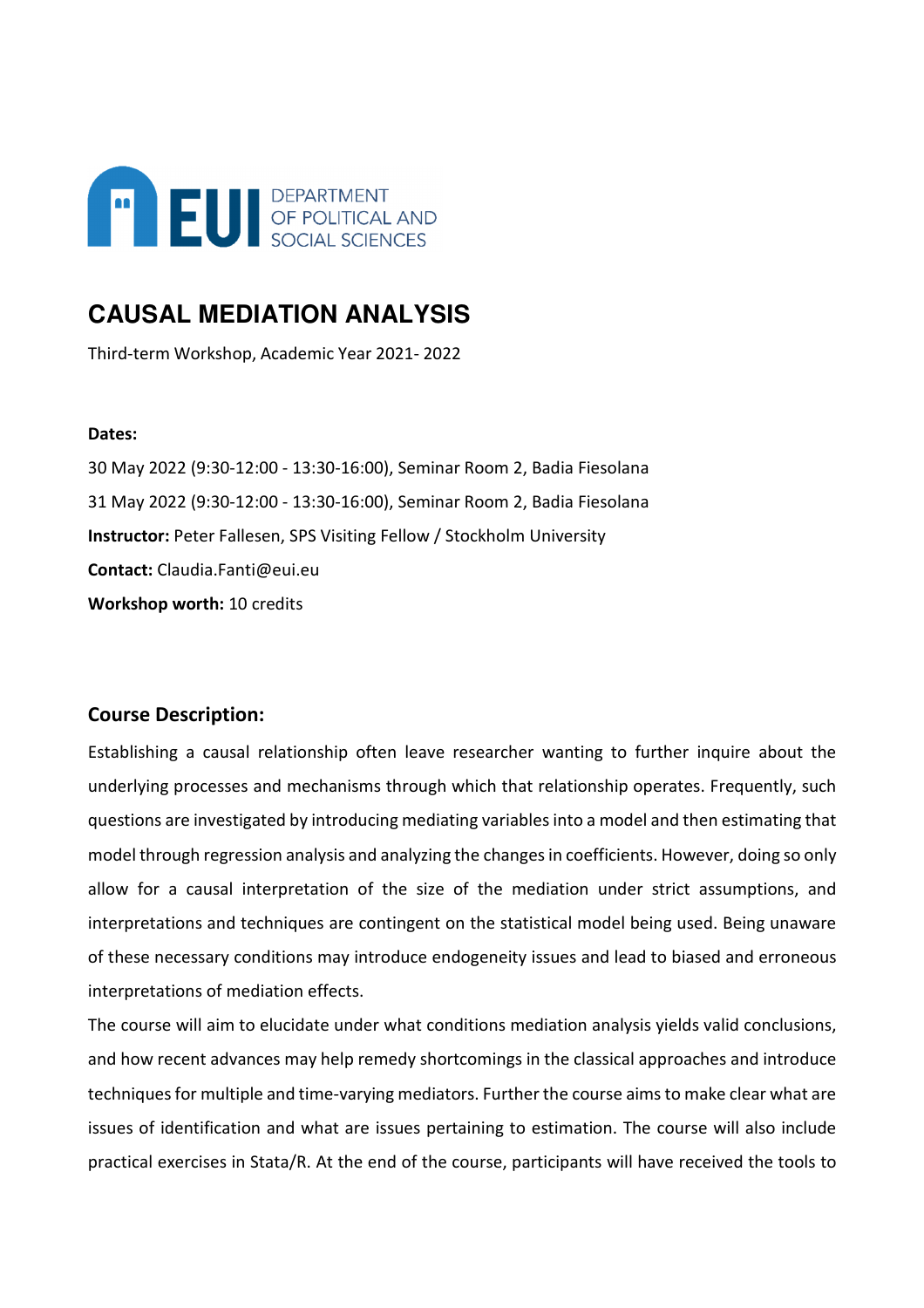

# **CAUSAL MEDIATION ANALYSIS**

Third-term Workshop, Academic Year 2021- 2022

## **Dates:**

30 May 2022 (9:30-12:00 - 13:30-16:00), Seminar Room 2, Badia Fiesolana 31 May 2022 (9:30-12:00 - 13:30-16:00), Seminar Room 2, Badia Fiesolana **Instructor:** Peter Fallesen, SPS Visiting Fellow / Stockholm University **Contact:** Claudia.Fanti@eui.eu **Workshop worth:** 10 credits

# **Course Description:**

Establishing a causal relationship often leave researcher wanting to further inquire about the underlying processes and mechanisms through which that relationship operates. Frequently, such questions are investigated by introducing mediating variables into a model and then estimating that model through regression analysis and analyzing the changes in coefficients. However, doing so only allow for a causal interpretation of the size of the mediation under strict assumptions, and interpretations and techniques are contingent on the statistical model being used. Being unaware of these necessary conditions may introduce endogeneity issues and lead to biased and erroneous interpretations of mediation effects.

The course will aim to elucidate under what conditions mediation analysis yields valid conclusions, and how recent advances may help remedy shortcomings in the classical approaches and introduce techniques for multiple and time-varying mediators. Further the course aims to make clear what are issues of identification and what are issues pertaining to estimation. The course will also include practical exercises in Stata/R. At the end of the course, participants will have received the tools to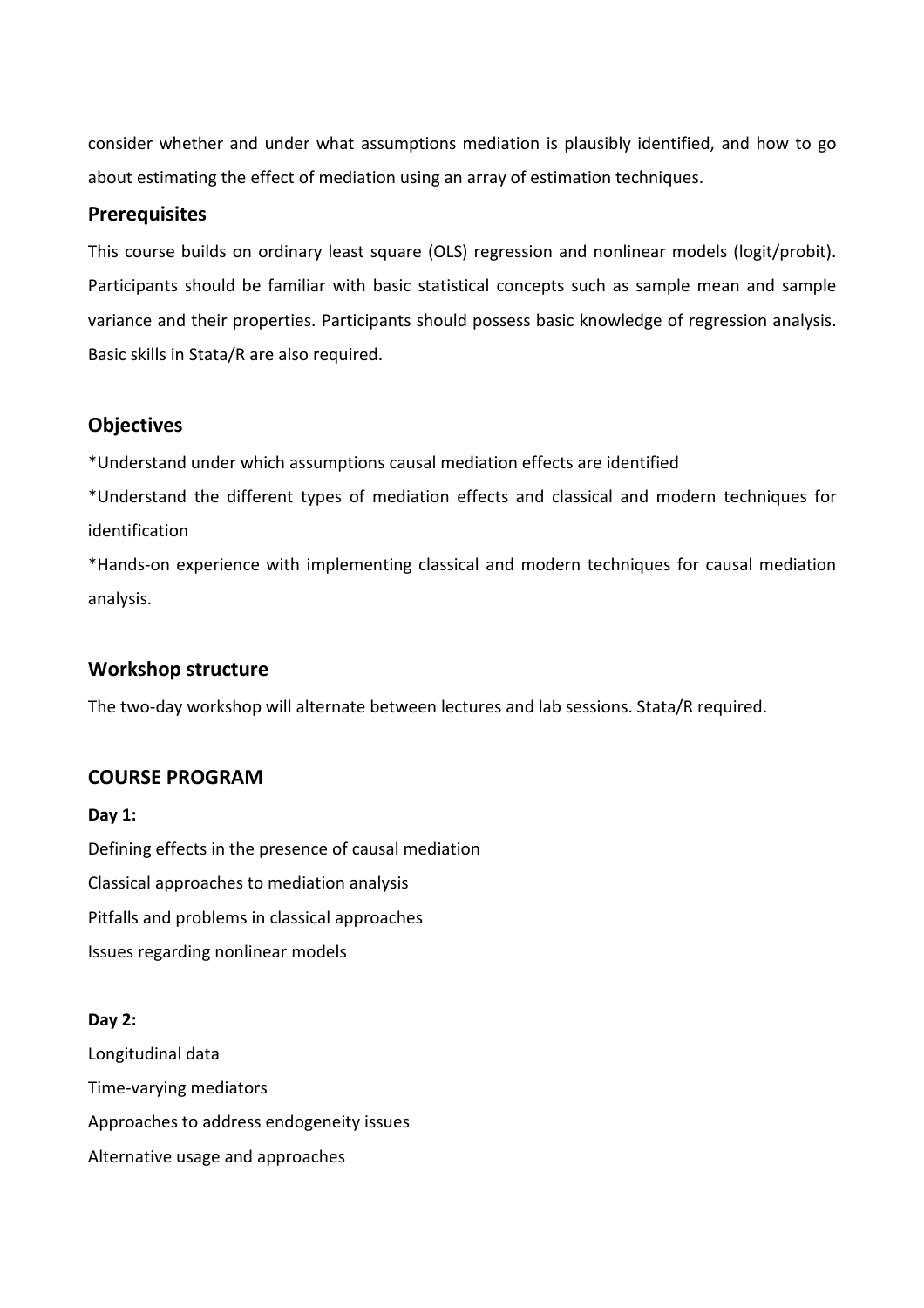consider whether and under what assumptions mediation is plausibly identified, and how to go about estimating the effect of mediation using an array of estimation techniques.

## **Prerequisites**

This course builds on ordinary least square (OLS) regression and nonlinear models (logit/probit). Participants should be familiar with basic statistical concepts such as sample mean and sample variance and their properties. Participants should possess basic knowledge of regression analysis. Basic skills in Stata/R are also required.

# **Objectives**

\*Understand under which assumptions causal mediation effects are identified

\*Understand the different types of mediation effects and classical and modern techniques for identification

\*Hands-on experience with implementing classical and modern techniques for causal mediation analysis.

# **Workshop structure**

The two-day workshop will alternate between lectures and lab sessions. Stata/R required.

# **COURSE PROGRAM**

**Day 1:**  Defining effects in the presence of causal mediation Classical approaches to mediation analysis Pitfalls and problems in classical approaches Issues regarding nonlinear models

## **Day 2:**

Longitudinal data Time-varying mediators Approaches to address endogeneity issues Alternative usage and approaches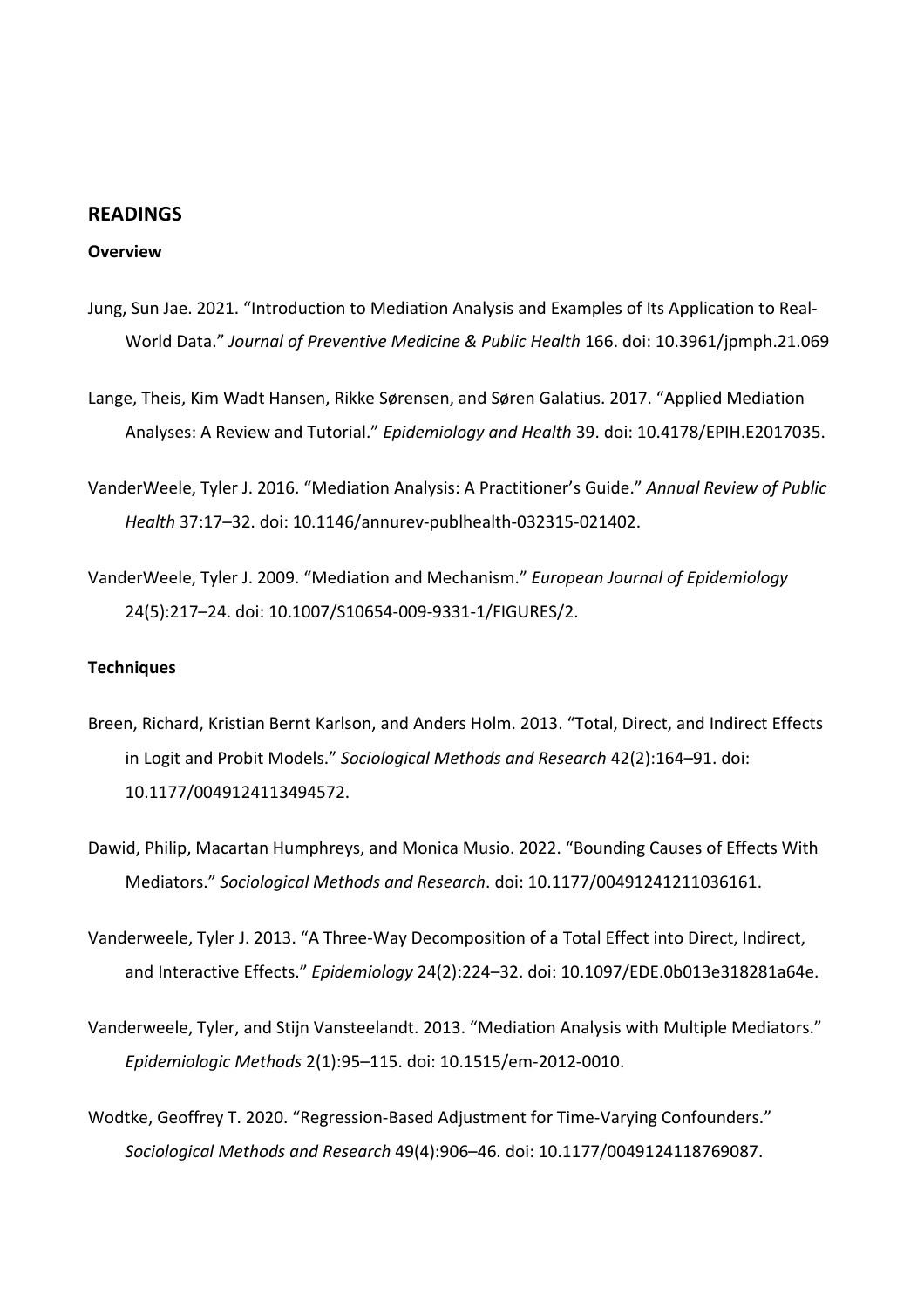## **READINGS**

### **Overview**

- Jung, Sun Jae. 2021. "Introduction to Mediation Analysis and Examples of Its Application to Real-World Data." *Journal of Preventive Medicine & Public Health* 166. doi: 10.3961/jpmph.21.069
- Lange, Theis, Kim Wadt Hansen, Rikke Sørensen, and Søren Galatius. 2017. "Applied Mediation Analyses: A Review and Tutorial." *Epidemiology and Health* 39. doi: 10.4178/EPIH.E2017035.
- VanderWeele, Tyler J. 2016. "Mediation Analysis: A Practitioner's Guide." *Annual Review of Public Health* 37:17–32. doi: 10.1146/annurev-publhealth-032315-021402.
- VanderWeele, Tyler J. 2009. "Mediation and Mechanism." *European Journal of Epidemiology* 24(5):217–24. doi: 10.1007/S10654-009-9331-1/FIGURES/2.

#### **Techniques**

- Breen, Richard, Kristian Bernt Karlson, and Anders Holm. 2013. "Total, Direct, and Indirect Effects in Logit and Probit Models." *Sociological Methods and Research* 42(2):164–91. doi: 10.1177/0049124113494572.
- Dawid, Philip, Macartan Humphreys, and Monica Musio. 2022. "Bounding Causes of Effects With Mediators." *Sociological Methods and Research*. doi: 10.1177/00491241211036161.
- Vanderweele, Tyler J. 2013. "A Three-Way Decomposition of a Total Effect into Direct, Indirect, and Interactive Effects." *Epidemiology* 24(2):224–32. doi: 10.1097/EDE.0b013e318281a64e.
- Vanderweele, Tyler, and Stijn Vansteelandt. 2013. "Mediation Analysis with Multiple Mediators." *Epidemiologic Methods* 2(1):95–115. doi: 10.1515/em-2012-0010.
- Wodtke, Geoffrey T. 2020. "Regression-Based Adjustment for Time-Varying Confounders." *Sociological Methods and Research* 49(4):906–46. doi: 10.1177/0049124118769087.